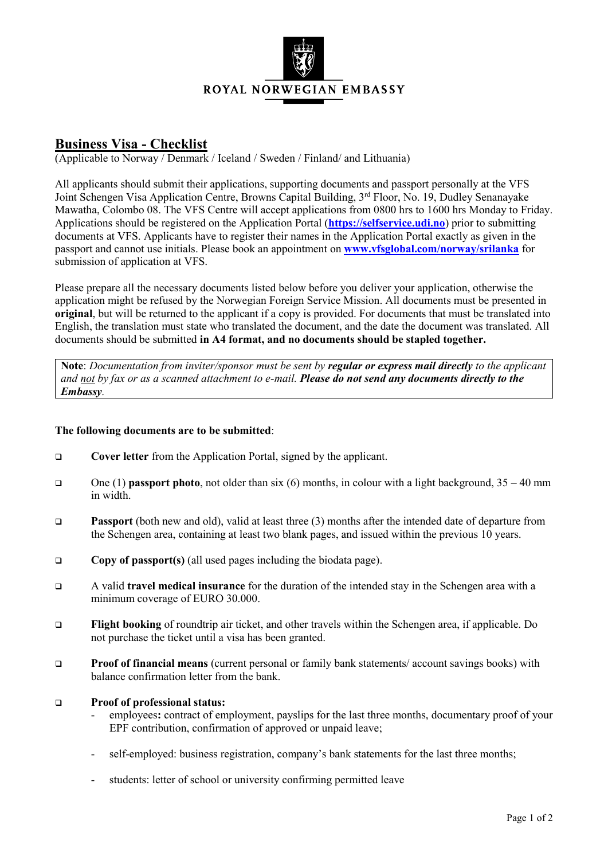

## **Business Visa - Checklist**

(Applicable to Norway / Denmark / Iceland / Sweden / Finland/ and Lithuania)

All applicants should submit their applications, supporting documents and passport personally at the VFS Joint Schengen Visa Application Centre, Browns Capital Building, 3<sup>rd</sup> Floor, No. 19, Dudley Senanayake Mawatha, Colombo 08. The VFS Centre will accept applications from 0800 hrs to 1600 hrs Monday to Friday. Applications should be registered on the Application Portal (**[https://selfservice.udi.no](https://selfservice.udi.no/)**) prior to submitting documents at VFS. Applicants have to register their names in the Application Portal exactly as given in the passport and cannot use initials. Please book an appointment on **[www.vfsglobal.com/norway/srilanka](http://www.vfsglobal.com/norway/srilanka)** for submission of application at VFS.

Please prepare all the necessary documents listed below before you deliver your application, otherwise the application might be refused by the Norwegian Foreign Service Mission. All documents must be presented in **original**, but will be returned to the applicant if a copy is provided. For documents that must be translated into English, the translation must state who translated the document, and the date the document was translated. All documents should be submitted **in A4 format, and no documents should be stapled together.**

**Note**: *Documentation from inviter/sponsor must be sent by regular or express mail directly to the applicant and not by fax or as a scanned attachment to e-mail. Please do not send any documents directly to the Embassy.*

## **The following documents are to be submitted**:

- **Cover letter** from the Application Portal, signed by the applicant.
- One (1) **passport photo**, not older than six (6) months, in colour with a light background, 35 40 mm in width.
- **Passport** (both new and old), valid at least three (3) months after the intended date of departure from the Schengen area, containing at least two blank pages, and issued within the previous 10 years.
- **Copy of passport(s)** (all used pages including the biodata page).
- A valid **travel medical insurance** for the duration of the intended stay in the Schengen area with a minimum coverage of EURO 30.000.
- **Flight booking** of roundtrip air ticket, and other travels within the Schengen area, if applicable. Do not purchase the ticket until a visa has been granted.
- **Proof of financial means** (current personal or family bank statements/ account savings books) with balance confirmation letter from the bank.

## **Proof of professional status:**

- employees**:** contract of employment, payslips for the last three months, documentary proof of your EPF contribution, confirmation of approved or unpaid leave;
- self-employed: business registration, company's bank statements for the last three months;
- students: letter of school or university confirming permitted leave